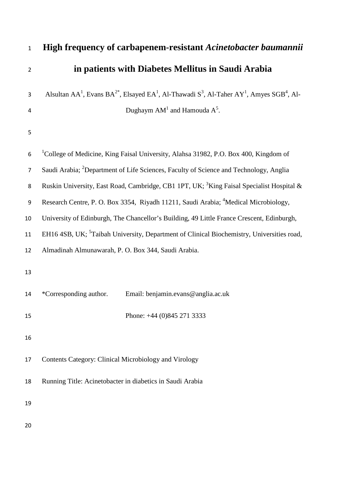| $\mathbf{1}$     | <b>High frequency of carbapenem-resistant Acinetobacter baumannii</b>                                                                                             |
|------------------|-------------------------------------------------------------------------------------------------------------------------------------------------------------------|
| $\overline{2}$   | in patients with Diabetes Mellitus in Saudi Arabia                                                                                                                |
| 3                | Alsultan AA <sup>1</sup> , Evans BA <sup>2*</sup> , Elsayed EA <sup>1</sup> , Al-Thawadi S <sup>3</sup> , Al-Taher AY <sup>1</sup> , Amyes SGB <sup>4</sup> , Al- |
| 4                | Dughaym $AM^1$ and Hamouda $A^5$ .                                                                                                                                |
| 5                |                                                                                                                                                                   |
| 6                | <sup>1</sup> College of Medicine, King Faisal University, Alahsa 31982, P.O. Box 400, Kingdom of                                                                  |
| $\overline{7}$   | Saudi Arabia; <sup>2</sup> Department of Life Sciences, Faculty of Science and Technology, Anglia                                                                 |
| 8                | Ruskin University, East Road, Cambridge, CB1 1PT, UK; <sup>3</sup> King Faisal Specialist Hospital &                                                              |
| $\boldsymbol{9}$ | Research Centre, P. O. Box 3354, Riyadh 11211, Saudi Arabia; <sup>4</sup> Medical Microbiology,                                                                   |
| 10               | University of Edinburgh, The Chancellor's Building, 49 Little France Crescent, Edinburgh,                                                                         |
| 11               | EH16 4SB, UK; <sup>5</sup> Taibah University, Department of Clinical Biochemistry, Universities road,                                                             |
| 12               | Almadinah Almunawarah, P. O. Box 344, Saudi Arabia.                                                                                                               |
| 13               |                                                                                                                                                                   |
| 14               | *Corresponding author.<br>Email: benjamin.evans@anglia.ac.uk                                                                                                      |
| 15               | Phone: $+44$ (0)845 271 3333                                                                                                                                      |
| 16               |                                                                                                                                                                   |
| 17               | Contents Category: Clinical Microbiology and Virology                                                                                                             |
| 18               | Running Title: Acinetobacter in diabetics in Saudi Arabia                                                                                                         |
| 19               |                                                                                                                                                                   |
| 20               |                                                                                                                                                                   |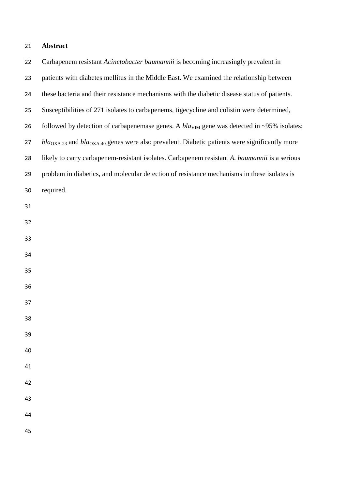## **Abstract**

| 22 | Carbapenem resistant Acinetobacter baumannii is becoming increasingly prevalent in               |
|----|--------------------------------------------------------------------------------------------------|
| 23 | patients with diabetes mellitus in the Middle East. We examined the relationship between         |
| 24 | these bacteria and their resistance mechanisms with the diabetic disease status of patients.     |
| 25 | Susceptibilities of 271 isolates to carbapenems, tigecycline and colistin were determined,       |
| 26 | followed by detection of carbapenemase genes. A $blaVIM$ gene was detected in ~95% isolates;     |
| 27 | $blaOXA-23$ and $blaOXA-40$ genes were also prevalent. Diabetic patients were significantly more |
| 28 | likely to carry carbapenem-resistant isolates. Carbapenem resistant A. baumannii is a serious    |
| 29 | problem in diabetics, and molecular detection of resistance mechanisms in these isolates is      |
| 30 | required.                                                                                        |
| 31 |                                                                                                  |
| 32 |                                                                                                  |
| 33 |                                                                                                  |
| 34 |                                                                                                  |
| 35 |                                                                                                  |
| 36 |                                                                                                  |
| 37 |                                                                                                  |
| 38 |                                                                                                  |
| 39 |                                                                                                  |
| 40 |                                                                                                  |
| 41 |                                                                                                  |
| 42 |                                                                                                  |
| 43 |                                                                                                  |
| 44 |                                                                                                  |
| 45 |                                                                                                  |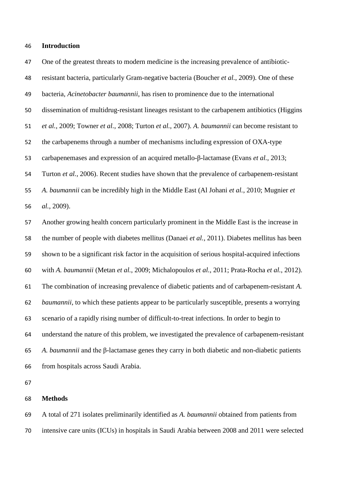## **Introduction**

 One of the greatest threats to modern medicine is the increasing prevalence of antibiotic- resistant bacteria, particularly Gram-negative bacteria [\(Boucher](#page-7-0) *et al.*, 2009). One of these bacteria, *Acinetobacter baumannii*, has risen to prominence due to the international dissemination of multidrug-resistant lineages resistant to the carbapenem antibiotics [\(Higgins](#page-8-0) *et al.*[, 2009;](#page-8-0) [Towner](#page-8-1) *et al.*, 2008; [Turton](#page-9-0) *et al.*, 2007). *A. baumannii* can become resistant to the carbapenems through a number of mechanisms including expression of OXA-type carbapenemases and expression of an acquired metallo-β-lactamase (Evans *et al.*[, 2013;](#page-7-1) [Turton](#page-9-1) *et al.*, 2006). Recent studies have shown that the prevalence of carbapenem-resistant *A. baumannii* can be incredibly high in the Middle East [\(Al Johani](#page-7-2) *et al.*, 2010; [Mugnier](#page-8-2) *et al.*[, 2009\)](#page-8-2). Another growing health concern particularly prominent in the Middle East is the increase in the number of people with diabetes mellitus [\(Danaei](#page-7-3) *et al.*, 2011). Diabetes mellitus has been shown to be a significant risk factor in the acquisition of serious hospital-acquired infections with *A. baumannii* [\(Metan](#page-8-3) *et al.*, 2009; [Michalopoulos](#page-8-4) *et al.*, 2011; [Prata-Rocha](#page-8-5) *et al.*, 2012). The combination of increasing prevalence of diabetic patients and of carbapenem-resistant *A. baumannii*, to which these patients appear to be particularly susceptible, presents a worrying scenario of a rapidly rising number of difficult-to-treat infections. In order to begin to understand the nature of this problem, we investigated the prevalence of carbapenem-resistant *A. baumannii* and the β-lactamase genes they carry in both diabetic and non-diabetic patients from hospitals across Saudi Arabia.

## **Methods**

 A total of 271 isolates preliminarily identified as *A. baumannii* obtained from patients from intensive care units (ICUs) in hospitals in Saudi Arabia between 2008 and 2011 were selected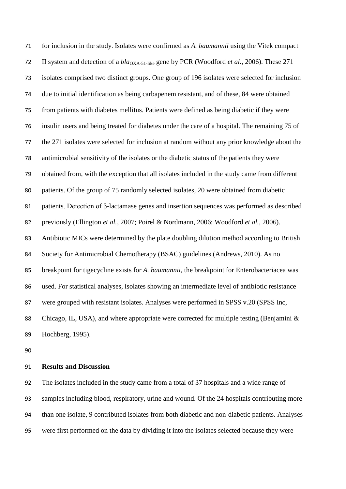for inclusion in the study. Isolates were confirmed as *A. baumannii* using the Vitek compact 72 II system and detection of a  $bla_{\text{OX}}$ <sub>4-51-like</sub> gene by PCR [\(Woodford](#page-9-2) *et al.*, 2006). These 271 isolates comprised two distinct groups. One group of 196 isolates were selected for inclusion due to initial identification as being carbapenem resistant, and of these, 84 were obtained from patients with diabetes mellitus. Patients were defined as being diabetic if they were insulin users and being treated for diabetes under the care of a hospital. The remaining 75 of the 271 isolates were selected for inclusion at random without any prior knowledge about the antimicrobial sensitivity of the isolates or the diabetic status of the patients they were obtained from, with the exception that all isolates included in the study came from different patients. Of the group of 75 randomly selected isolates, 20 were obtained from diabetic patients. Detection of β-lactamase genes and insertion sequences was performed as described previously [\(Ellington](#page-7-4) *et al.*, 2007; [Poirel & Nordmann, 2006;](#page-8-6) [Woodford](#page-9-2) *et al.*, 2006). Antibiotic MICs were determined by the plate doubling dilution method according to British Society for Antimicrobial Chemotherapy (BSAC) guidelines [\(Andrews, 2010\)](#page-7-5). As no breakpoint for tigecycline exists for *A. baumannii*, the breakpoint for Enterobacteriacea was used. For statistical analyses, isolates showing an intermediate level of antibiotic resistance were grouped with resistant isolates. Analyses were performed in SPSS v.20 (SPSS Inc, 88 Chicago, IL, USA), and where appropriate were corrected for multiple testing (Benjamini & [Hochberg, 1995\)](#page-7-6).

## **Results and Discussion**

 The isolates included in the study came from a total of 37 hospitals and a wide range of samples including blood, respiratory, urine and wound. Of the 24 hospitals contributing more than one isolate, 9 contributed isolates from both diabetic and non-diabetic patients. Analyses were first performed on the data by dividing it into the isolates selected because they were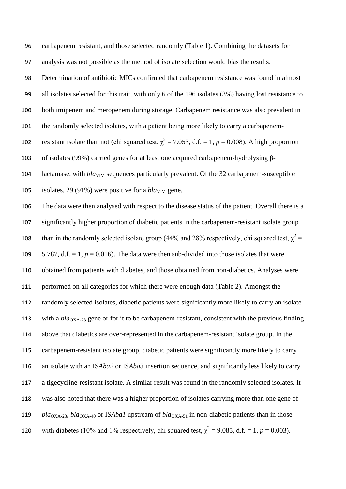carbapenem resistant, and those selected randomly (Table 1). Combining the datasets for analysis was not possible as the method of isolate selection would bias the results. Determination of antibiotic MICs confirmed that carbapenem resistance was found in almost all isolates selected for this trait, with only 6 of the 196 isolates (3%) having lost resistance to both imipenem and meropenem during storage. Carbapenem resistance was also prevalent in the randomly selected isolates, with a patient being more likely to carry a carbapenemresistant isolate than not (chi squared test,  $\chi^2 = 7.053$ , d.f. = 1, *p* = 0.008). A high proportion of isolates (99%) carried genes for at least one acquired carbapenem-hydrolysing β-104 lactamase, with  $bla<sub>VIM</sub>$  sequences particularly prevalent. Of the 32 carbapenem-susceptible 105 isolates, 29 (91%) were positive for a  $bla<sub>VM</sub>$  gene. The data were then analysed with respect to the disease status of the patient. Overall there is a significantly higher proportion of diabetic patients in the carbapenem-resistant isolate group than in the randomly selected isolate group (44% and 28% respectively, chi squared test,  $\chi^2$  =  $5.787$ , d.f.  $= 1$ ,  $p = 0.016$ ). The data were then sub-divided into those isolates that were obtained from patients with diabetes, and those obtained from non-diabetics. Analyses were performed on all categories for which there were enough data (Table 2). Amongst the randomly selected isolates, diabetic patients were significantly more likely to carry an isolate 113 with a *bla*<sub>OXA-23</sub> gene or for it to be carbapenem-resistant, consistent with the previous finding above that diabetics are over-represented in the carbapenem-resistant isolate group. In the carbapenem-resistant isolate group, diabetic patients were significantly more likely to carry an isolate with an IS*Aba2* or IS*Aba3* insertion sequence, and significantly less likely to carry a tigecycline-resistant isolate. A similar result was found in the randomly selected isolates. It was also noted that there was a higher proportion of isolates carrying more than one gene of *bla*<sub>OXA-23</sub>, *bla*<sub>OXA-40</sub> or IS*Abal* upstream of *bla*<sub>OXA-51</sub> in non-diabetic patients than in those 120 with diabetes (10% and 1% respectively, chi squared test,  $\chi^2 = 9.085$ , d.f. = 1, *p* = 0.003).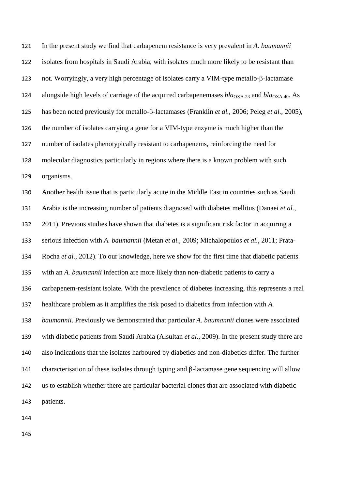In the present study we find that carbapenem resistance is very prevalent in *A. baumannii* isolates from hospitals in Saudi Arabia, with isolates much more likely to be resistant than not. Worryingly, a very high percentage of isolates carry a VIM-type metallo-β-lactamase 124 alongside high levels of carriage of the acquired carbapenemases  $bla_{\text{OXA-23}}$  and  $bla_{\text{OXA-40}}$ . As has been noted previously for metallo-β-lactamases [\(Franklin](#page-8-7) *et al.*, 2006; Peleg *et al.*[, 2005\)](#page-8-8), the number of isolates carrying a gene for a VIM-type enzyme is much higher than the number of isolates phenotypically resistant to carbapenems, reinforcing the need for molecular diagnostics particularly in regions where there is a known problem with such organisms.

 Another health issue that is particularly acute in the Middle East in countries such as Saudi Arabia is the increasing number of patients diagnosed with diabetes mellitus [\(Danaei](#page-7-3) *et al.*, [2011\)](#page-7-3). Previous studies have shown that diabetes is a significant risk factor in acquiring a serious infection with *A. baumannii* [\(Metan](#page-8-3) *et al.*, 2009; [Michalopoulos](#page-8-4) *et al.*, 2011; [Prata-](#page-8-5) Rocha *et al.*[, 2012\)](#page-8-5). To our knowledge, here we show for the first time that diabetic patients with an *A. baumannii* infection are more likely than non-diabetic patients to carry a carbapenem-resistant isolate. With the prevalence of diabetes increasing, this represents a real healthcare problem as it amplifies the risk posed to diabetics from infection with *A. baumannii*. Previously we demonstrated that particular *A. baumannii* clones were associated with diabetic patients from Saudi Arabia [\(Alsultan](#page-7-7) *et al.*, 2009). In the present study there are also indications that the isolates harboured by diabetics and non-diabetics differ. The further characterisation of these isolates through typing and β-lactamase gene sequencing will allow us to establish whether there are particular bacterial clones that are associated with diabetic patients.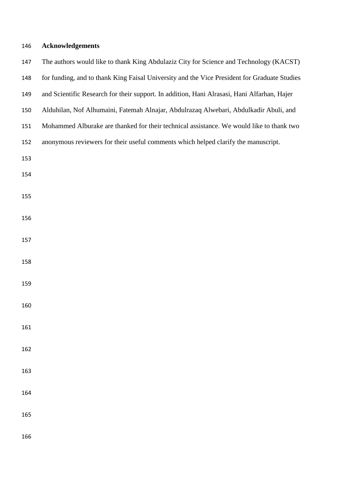| 146 | <b>Acknowledgements</b>                                                                      |
|-----|----------------------------------------------------------------------------------------------|
| 147 | The authors would like to thank King Abdulaziz City for Science and Technology (KACST)       |
| 148 | for funding, and to thank King Faisal University and the Vice President for Graduate Studies |
| 149 | and Scientific Research for their support. In addition, Hani Alrasasi, Hani Alfarhan, Hajer  |
| 150 | Alduhilan, Nof Alhumaini, Fatemah Alnajar, Abdulrazaq Alwebari, Abdulkadir Abuli, and        |
| 151 | Mohammed Alburake are thanked for their technical assistance. We would like to thank two     |
| 152 | anonymous reviewers for their useful comments which helped clarify the manuscript.           |
| 153 |                                                                                              |
| 154 |                                                                                              |
| 155 |                                                                                              |
| 156 |                                                                                              |
|     |                                                                                              |
| 157 |                                                                                              |
| 158 |                                                                                              |
| 159 |                                                                                              |
| 160 |                                                                                              |
|     |                                                                                              |
| 161 |                                                                                              |
| 162 |                                                                                              |
| 163 |                                                                                              |
| 164 |                                                                                              |
|     |                                                                                              |
| 165 |                                                                                              |
|     |                                                                                              |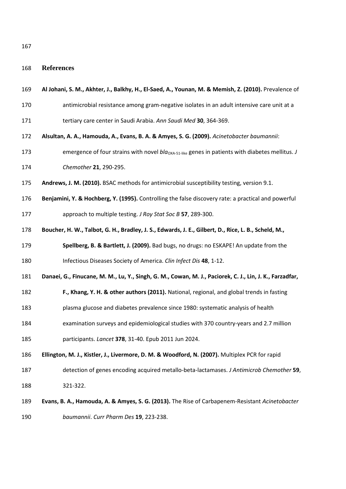**References**

<span id="page-7-2"></span>

| 169 |  | Al Johani, S. M., Akhter, J., Balkhy, H., El-Saed, A., Younan, M. & Memish, Z. (2010). Prevalence of |  |  |  |  |  |
|-----|--|------------------------------------------------------------------------------------------------------|--|--|--|--|--|
|-----|--|------------------------------------------------------------------------------------------------------|--|--|--|--|--|

- antimicrobial resistance among gram-negative isolates in an adult intensive care unit at a
- tertiary care center in Saudi Arabia. *Ann Saudi Med* **30**, 364-369.
- <span id="page-7-7"></span>**Alsultan, A. A., Hamouda, A., Evans, B. A. & Amyes, S. G. (2009).** *Acinetobacter baumannii*:
- 173 emergence of four strains with novel *bla*<sub>OXA-51-like</sub> genes in patients with diabetes mellitus. *J Chemother* **21**, 290-295.
- <span id="page-7-5"></span>**Andrews, J. M. (2010).** BSAC methods for antimicrobial susceptibility testing, version 9.1.
- <span id="page-7-6"></span>**Benjamini, Y. & Hochberg, Y. (1995).** Controlling the false discovery rate: a practical and powerful

approach to multiple testing. *J Roy Stat Soc B* **57**, 289-300.

- <span id="page-7-0"></span>**Boucher, H. W., Talbot, G. H., Bradley, J. S., Edwards, J. E., Gilbert, D., Rice, L. B., Scheld, M.,**
- **Spellberg, B. & Bartlett, J. (2009).** Bad bugs, no drugs: no ESKAPE! An update from the

Infectious Diseases Society of America. *Clin Infect Dis* **48**, 1-12.

<span id="page-7-3"></span>**Danaei, G., Finucane, M. M., Lu, Y., Singh, G. M., Cowan, M. J., Paciorek, C. J., Lin, J. K., Farzadfar,** 

- **F., Khang, Y. H. & other authors (2011).** National, regional, and global trends in fasting
- plasma glucose and diabetes prevalence since 1980: systematic analysis of health
- examination surveys and epidemiological studies with 370 country-years and 2.7 million
- participants. *Lancet* **378**, 31-40. Epub 2011 Jun 2024.
- <span id="page-7-4"></span>**Ellington, M. J., Kistler, J., Livermore, D. M. & Woodford, N. (2007).** Multiplex PCR for rapid
- detection of genes encoding acquired metallo-beta-lactamases. *J Antimicrob Chemother* **59**, 321-322.
- <span id="page-7-1"></span> **Evans, B. A., Hamouda, A. & Amyes, S. G. (2013).** The Rise of Carbapenem-Resistant *Acinetobacter baumannii*. *Curr Pharm Des* **19**, 223-238.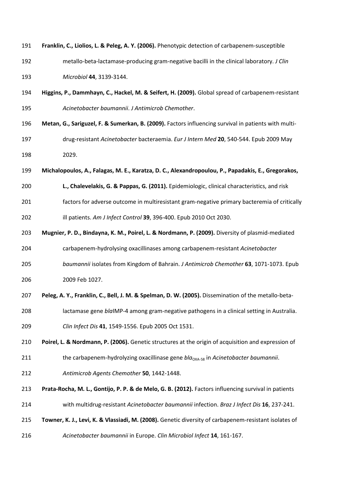<span id="page-8-8"></span><span id="page-8-7"></span><span id="page-8-6"></span><span id="page-8-5"></span><span id="page-8-4"></span><span id="page-8-3"></span><span id="page-8-2"></span><span id="page-8-1"></span><span id="page-8-0"></span>

| 191 | Franklin, C., Liolios, L. & Peleg, A. Y. (2006). Phenotypic detection of carbapenem-susceptible       |
|-----|-------------------------------------------------------------------------------------------------------|
| 192 | metallo-beta-lactamase-producing gram-negative bacilli in the clinical laboratory. J Clin             |
| 193 | Microbiol 44, 3139-3144.                                                                              |
| 194 | Higgins, P., Dammhayn, C., Hackel, M. & Seifert, H. (2009). Global spread of carbapenem-resistant     |
| 195 | Acinetobacter baumannii. J Antimicrob Chemother.                                                      |
| 196 | Metan, G., Sariguzel, F. & Sumerkan, B. (2009). Factors influencing survival in patients with multi-  |
| 197 | drug-resistant Acinetobacter bacteraemia. Eur J Intern Med 20, 540-544. Epub 2009 May                 |
| 198 | 2029.                                                                                                 |
| 199 | Michalopoulos, A., Falagas, M. E., Karatza, D. C., Alexandropoulou, P., Papadakis, E., Gregorakos,    |
| 200 | L., Chalevelakis, G. & Pappas, G. (2011). Epidemiologic, clinical characteristics, and risk           |
| 201 | factors for adverse outcome in multiresistant gram-negative primary bacteremia of critically          |
| 202 | ill patients. Am J Infect Control 39, 396-400. Epub 2010 Oct 2030.                                    |
| 203 | Mugnier, P. D., Bindayna, K. M., Poirel, L. & Nordmann, P. (2009). Diversity of plasmid-mediated      |
| 204 | carbapenem-hydrolysing oxacillinases among carbapenem-resistant Acinetobacter                         |
| 205 | baumannii isolates from Kingdom of Bahrain. J Antimicrob Chemother 63, 1071-1073. Epub                |
| 206 | 2009 Feb 1027.                                                                                        |
| 207 | Peleg, A. Y., Franklin, C., Bell, J. M. & Spelman, D. W. (2005). Dissemination of the metallo-beta-   |
| 208 | lactamase gene blaIMP-4 among gram-negative pathogens in a clinical setting in Australia.             |
| 209 | Clin Infect Dis 41, 1549-1556. Epub 2005 Oct 1531.                                                    |
| 210 | Poirel, L. & Nordmann, P. (2006). Genetic structures at the origin of acquisition and expression of   |
| 211 | the carbapenem-hydrolyzing oxacillinase gene $bla_{\text{OXA-58}}$ in Acinetobacter baumannii.        |
| 212 | Antimicrob Agents Chemother 50, 1442-1448.                                                            |
| 213 | Prata-Rocha, M. L., Gontijo, P. P. & de Melo, G. B. (2012). Factors influencing survival in patients  |
| 214 | with multidrug-resistant Acinetobacter baumannii infection. Braz J Infect Dis 16, 237-241.            |
| 215 | Towner, K. J., Levi, K. & Vlassiadi, M. (2008). Genetic diversity of carbapenem-resistant isolates of |
| 216 | Acinetobacter baumannii in Europe. Clin Microbiol Infect 14, 161-167.                                 |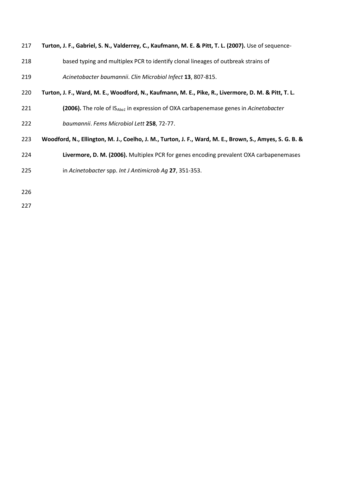<span id="page-9-0"></span>

| 217 | Turton, J. F., Gabriel, S. N., Valderrey, C., Kaufmann, M. E. & Pitt, T. L. (2007). Use of sequence- |  |  |  |  |  |
|-----|------------------------------------------------------------------------------------------------------|--|--|--|--|--|
|-----|------------------------------------------------------------------------------------------------------|--|--|--|--|--|

- based typing and multiplex PCR to identify clonal lineages of outbreak strains of
- *Acinetobacter baumannii*. *Clin Microbiol Infect* **13**, 807-815.
- <span id="page-9-1"></span>**Turton, J. F., Ward, M. E., Woodford, N., Kaufmann, M. E., Pike, R., Livermore, D. M. & Pitt, T. L.**
- **(2006).** The role of IS*Aba1* in expression of OXA carbapenemase genes in *Acinetobacter*
- *baumannii*. *Fems Microbiol Lett* **258**, 72-77.
- <span id="page-9-2"></span>**Woodford, N., Ellington, M. J., Coelho, J. M., Turton, J. F., Ward, M. E., Brown, S., Amyes, S. G. B. &**
- **Livermore, D. M. (2006).** Multiplex PCR for genes encoding prevalent OXA carbapenemases
- in *Acinetobacter* spp. *Int J Antimicrob Ag* **27**, 351-353.
- 
-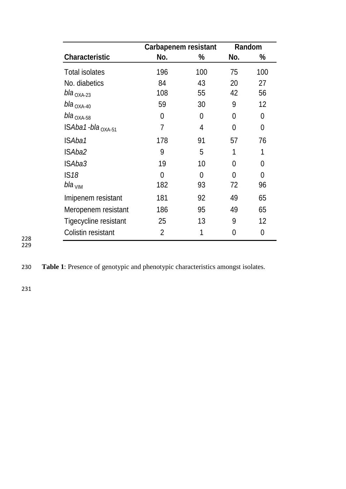|                              | Carbapenem resistant |               | Random         |     |
|------------------------------|----------------------|---------------|----------------|-----|
| <b>Characteristic</b>        | No.                  | $\frac{0}{0}$ | No.            | %   |
| <b>Total isolates</b>        | 196                  | 100           | 75             | 100 |
| No. diabetics                | 84                   | 43            | 20             | 27  |
| $b$ la <sub>OXA-23</sub>     | 108                  | 55            | 42             | 56  |
| bla <sub>OXA-40</sub>        | 59                   | 30            | 9              | 12  |
| $bla_{OXA-58}$               | 0                    | 0             | $\overline{0}$ | 0   |
| ISAba1-bla <sub>OXA-51</sub> | 7                    | 4             | $\overline{0}$ | 0   |
| ISAba1                       | 178                  | 91            | 57             | 76  |
| ISAba2                       | 9                    | 5             | 1              | 1   |
| ISAba3                       | 19                   | 10            | 0              | 0   |
| IS18                         | 0                    | 0             | 0              | 0   |
| $b$ la <sub>VIM</sub>        | 182                  | 93            | 72             | 96  |
| Imipenem resistant           | 181                  | 92            | 49             | 65  |
| Meropenem resistant          | 186                  | 95            | 49             | 65  |
| Tigecycline resistant        | 25                   | 13            | 9              | 12  |
| Colistin resistant           | 2                    | 1             | 0              | 0   |

228 229

230 **Table 1**: Presence of genotypic and phenotypic characteristics amongst isolates.